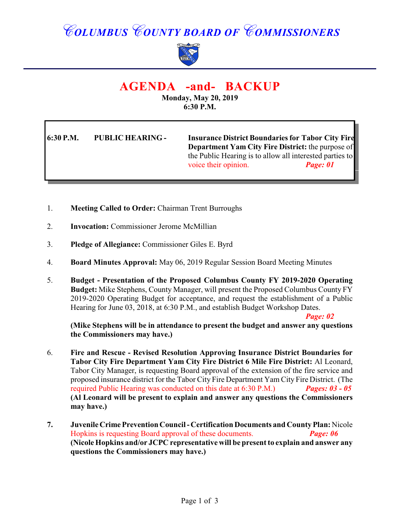# *COLUMBUS COUNTY BOARD OF COMMISSIONERS*



## **AGENDA -and- BACKUP**

**Monday, May 20, 2019 6:30 P.M.**

**6:30 P.M. PUBLIC HEARING - Insurance District Boundaries for Tabor City Fire Department Yam City Fire District:** the purpose of the Public Hearing is to allow all interested parties to voice their opinion. **Page: 01** 

- 1. **Meeting Called to Order:** Chairman Trent Burroughs
- 2. **Invocation:** Commissioner Jerome McMillian
- 3. **Pledge of Allegiance:** Commissioner Giles E. Byrd
- 4. **Board Minutes Approval:** May 06, 2019 Regular Session Board Meeting Minutes
- 5. **Budget Presentation of the Proposed Columbus County FY 2019-2020 Operating Budget:** Mike Stephens, County Manager, will present the Proposed Columbus County FY 2019-2020 Operating Budget for acceptance, and request the establishment of a Public Hearing for June 03, 2018, at 6:30 P.M., and establish Budget Workshop Dates.

*Page: 02*

**(Mike Stephens will be in attendance to present the budget and answer any questions the Commissioners may have.)**

- 6. **Fire and Rescue Revised Resolution Approving Insurance District Boundaries for Tabor City Fire Department Yam City Fire District 6 Mile Fire District:** Al Leonard, Tabor City Manager, is requesting Board approval of the extension of the fire service and proposed insurance district for the Tabor City Fire Department Yam City Fire District. (The required Public Hearing was conducted on this date at 6:30 P.M.) *Pages: 03 - 05* **(Al Leonard will be present to explain and answer any questions the Commissioners may have.)**
- **7. Juvenile Crime Prevention Council Certification Documents and County Plan:** Nicole Hopkins is requesting Board approval of these documents.*Page: 06* **(Nicole Hopkins and/or JCPC representative will be presentto explain and answer any questions the Commissioners may have.)**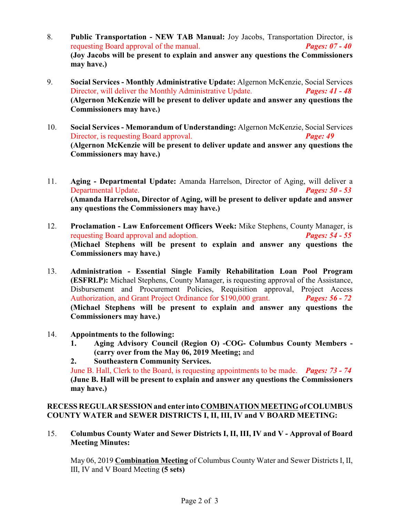- 8. **Public Transportation NEW TAB Manual:** Joy Jacobs, Transportation Director, is requesting Board approval of the manual. *Pages: 07 - 40* **(Joy Jacobs will be present to explain and answer any questions the Commissioners may have.)**
- 9. **Social Services Monthly Administrative Update:** Algernon McKenzie, Social Services Director, will deliver the Monthly Administrative Update. *Pages: 41 - 48* **(Algernon McKenzie will be present to deliver update and answer any questions the Commissioners may have.)**
- 10. **Social Services Memorandum of Understanding:** Algernon McKenzie, Social Services Director, is requesting Board approval. *Page: 49* **(Algernon McKenzie will be present to deliver update and answer any questions the Commissioners may have.)**
- 11. **Aging Departmental Update:** Amanda Harrelson, Director of Aging, will deliver a Departmental Update. *Pages: 50 - 53* **(Amanda Harrelson, Director of Aging, will be present to deliver update and answer any questions the Commissioners may have.)**
- 12. **Proclamation Law Enforcement Officers Week:** Mike Stephens, County Manager, is requesting Board approval and adoption. *Pages: 54 - 55* **(Michael Stephens will be present to explain and answer any questions the Commissioners may have.)**
- 13. **Administration Essential Single Family Rehabilitation Loan Pool Program (ESFRLP):** Michael Stephens, County Manager, is requesting approval of the Assistance, Disbursement and Procurement Policies, Requisition approval, Project Access Authorization, and Grant Project Ordinance for \$190,000 grant. *Pages: 56 - 72* **(Michael Stephens will be present to explain and answer any questions the Commissioners may have.)**
- 14. **Appointments to the following:**
	- **1. Aging Advisory Council (Region O) -COG- Columbus County Members - (carry over from the May 06, 2019 Meeting;** and
	- **2. Southeastern Community Services.**

June B. Hall, Clerk to the Board, is requesting appointments to be made. *Pages: 73 - 74* **(June B. Hall will be present to explain and answer any questions the Commissioners may have.)**

### **RECESS REGULAR SESSION and enter into COMBINATION MEETING of COLUMBUS COUNTY WATER and SEWER DISTRICTS I, II, III, IV and V BOARD MEETING:**

15. **Columbus County Water and Sewer Districts I, II, III, IV and V - Approval of Board Meeting Minutes:**

May 06, 2019 **Combination Meeting** of Columbus County Water and Sewer Districts I, II, III, IV and V Board Meeting **(5 sets)**